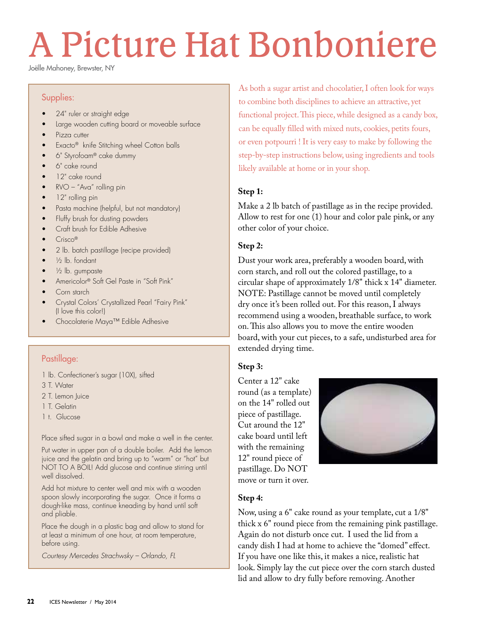# A Picture Hat Bonboniere

Joëlle Mahoney, Brewster, NY

#### Supplies:

- 24" ruler or straight edge
- Large wooden cutting board or moveable surface
- Pizza cutter
- Exacto® knife Stitching wheel Cotton balls
- 6" Styrofoam® cake dummy
- 6" cake round
- 12" cake round
- RVO "Ava" rolling pin
- 12" rolling pin
- Pasta machine (helpful, but not mandatory)
- Fluffy brush for dusting powders
- Craft brush for Edible Adhesive
- Crisco®
- 2 lb. batch pastillage (recipe provided)
- $\frac{1}{2}$  lb. fondant
- 1/<sub>2</sub> lb. gumpaste
- Americolor® Soft Gel Paste in "Soft Pink"
- Corn starch
- Crystal Colors' Crystallized Pearl "Fairy Pink" (I love this color!)
- Chocolaterie Maya™ Edible Adhesive

# Pastillage:

- 1 lb. Confectioner's sugar (10X), sifted
- 3 T. Water
- 2 T. Lemon Juice
- 1 T. Gelatin
- 1 t. Glucose

Place sifted sugar in a bowl and make a well in the center.

Put water in upper pan of a double boiler. Add the lemon juice and the gelatin and bring up to "warm" or "hot" but NOT TO A BOIL! Add glucose and continue stirring until well dissolved.

Add hot mixture to center well and mix with a wooden spoon slowly incorporating the sugar. Once it forms a dough-like mass, continue kneading by hand until soft and pliable.

Place the dough in a plastic bag and allow to stand for at least a minimum of one hour, at room temperature, before using.

*Courtesy Mercedes Strachwsky – Orlando, FL*

As both a sugar artist and chocolatier, I often look for ways to combine both disciplines to achieve an attractive, yet functional project. This piece, while designed as a candy box, can be equally filled with mixed nuts, cookies, petits fours, or even potpourri ! It is very easy to make by following the step-by-step instructions below, using ingredients and tools likely available at home or in your shop.

### **Step 1:**

Make a 2 lb batch of pastillage as in the recipe provided. Allow to rest for one (1) hour and color pale pink, or any other color of your choice.

### **Step 2:**

Dust your work area, preferably a wooden board, with corn starch, and roll out the colored pastillage, to a circular shape of approximately 1/8" thick x 14" diameter. NOTE: Pastillage cannot be moved until completely dry once it's been rolled out. For this reason, I always recommend using a wooden, breathable surface, to work on. This also allows you to move the entire wooden board, with your cut pieces, to a safe, undisturbed area for extended drying time.

#### **Step 3:**

Center a 12" cake round (as a template) on the 14" rolled out piece of pastillage. Cut around the 12" cake board until left with the remaining 12" round piece of pastillage. Do NOT move or turn it over.



# **Step 4:**

Now, using a 6" cake round as your template, cut a 1/8" thick x 6" round piece from the remaining pink pastillage. Again do not disturb once cut. I used the lid from a candy dish I had at home to achieve the "domed" effect. If you have one like this, it makes a nice, realistic hat look. Simply lay the cut piece over the corn starch dusted lid and allow to dry fully before removing. Another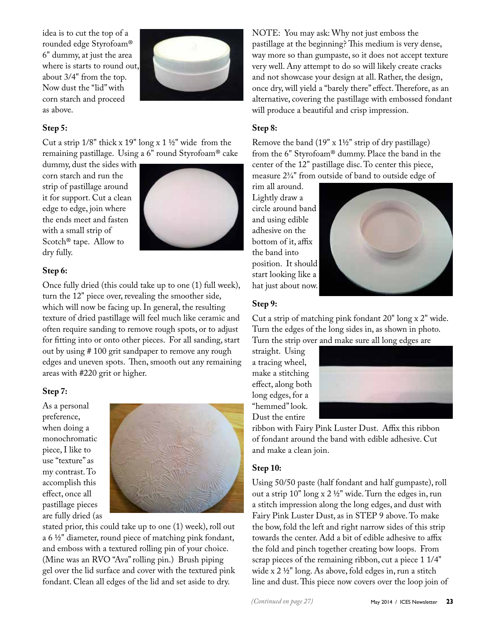idea is to cut the top of a rounded edge Styrofoam® 6" dummy, at just the area where is starts to round out, about 3/4" from the top. Now dust the "lid" with corn starch and proceed as above.



# **Step 5:**

Cut a strip 1/8" thick x 19" long x 1 ½" wide from the remaining pastillage. Using a 6" round Styrofoam® cake

dummy, dust the sides with corn starch and run the strip of pastillage around it for support. Cut a clean edge to edge, join where the ends meet and fasten with a small strip of Scotch® tape. Allow to dry fully.



### **Step 6:**

Once fully dried (this could take up to one (1) full week), turn the 12" piece over, revealing the smoother side, which will now be facing up. In general, the resulting texture of dried pastillage will feel much like ceramic and often require sanding to remove rough spots, or to adjust for fitting into or onto other pieces. For all sanding, start out by using # 100 grit sandpaper to remove any rough edges and uneven spots. Then, smooth out any remaining areas with #220 grit or higher.

#### **Step 7:**

As a personal preference, when doing a monochromatic piece, I like to use "texture" as my contrast. To accomplish this effect, once all pastillage pieces are fully dried (as



stated prior, this could take up to one (1) week), roll out a 6 ½" diameter, round piece of matching pink fondant, and emboss with a textured rolling pin of your choice. (Mine was an RVO "Ava" rolling pin.) Brush piping gel over the lid surface and cover with the textured pink fondant. Clean all edges of the lid and set aside to dry.

NOTE: You may ask: Why not just emboss the pastillage at the beginning? This medium is very dense, way more so than gumpaste, so it does not accept texture very well. Any attempt to do so will likely create cracks and not showcase your design at all. Rather, the design, once dry, will yield a "barely there" effect. Therefore, as an alternative, covering the pastillage with embossed fondant will produce a beautiful and crisp impression.

# **Step 8:**

Remove the band (19" x 1½" strip of dry pastillage) from the 6" Styrofoam® dummy. Place the band in the center of the 12" pastillage disc. To center this piece, measure 2¾" from outside of band to outside edge of

rim all around. Lightly draw a circle around band and using edible adhesive on the bottom of it, affix the band into position. It should start looking like a hat just about now.



#### **Step 9:**

Cut a strip of matching pink fondant 20" long x 2" wide. Turn the edges of the long sides in, as shown in photo. Turn the strip over and make sure all long edges are

straight. Using a tracing wheel, make a stitching effect, along both long edges, for a "hemmed" look. Dust the entire



ribbon with Fairy Pink Luster Dust. Affix this ribbon of fondant around the band with edible adhesive. Cut and make a clean join.

#### **Step 10:**

Using 50/50 paste (half fondant and half gumpaste), roll out a strip  $10"$  long x  $2\frac{1}{2}$ " wide. Turn the edges in, run a stitch impression along the long edges, and dust with Fairy Pink Luster Dust, as in STEP 9 above. To make the bow, fold the left and right narrow sides of this strip towards the center. Add a bit of edible adhesive to affix the fold and pinch together creating bow loops. From scrap pieces of the remaining ribbon, cut a piece 1 1/4" wide x 2 ½" long. As above, fold edges in, run a stitch line and dust. This piece now covers over the loop join of